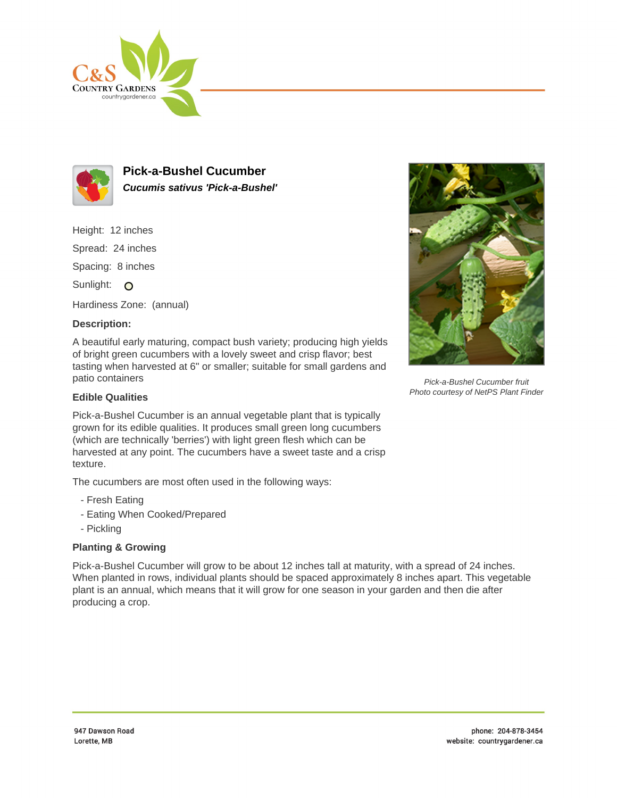



**Pick-a-Bushel Cucumber Cucumis sativus 'Pick-a-Bushel'**

Height: 12 inches

Spread: 24 inches

Spacing: 8 inches

Sunlight: O

Hardiness Zone: (annual)

## **Description:**

A beautiful early maturing, compact bush variety; producing high yields of bright green cucumbers with a lovely sweet and crisp flavor; best tasting when harvested at 6" or smaller; suitable for small gardens and patio containers

## **Edible Qualities**

Pick-a-Bushel Cucumber is an annual vegetable plant that is typically grown for its edible qualities. It produces small green long cucumbers (which are technically 'berries') with light green flesh which can be harvested at any point. The cucumbers have a sweet taste and a crisp texture.

The cucumbers are most often used in the following ways:

- Fresh Eating
- Eating When Cooked/Prepared
- Pickling

## **Planting & Growing**

Pick-a-Bushel Cucumber will grow to be about 12 inches tall at maturity, with a spread of 24 inches. When planted in rows, individual plants should be spaced approximately 8 inches apart. This vegetable plant is an annual, which means that it will grow for one season in your garden and then die after producing a crop.



Pick-a-Bushel Cucumber fruit Photo courtesy of NetPS Plant Finder